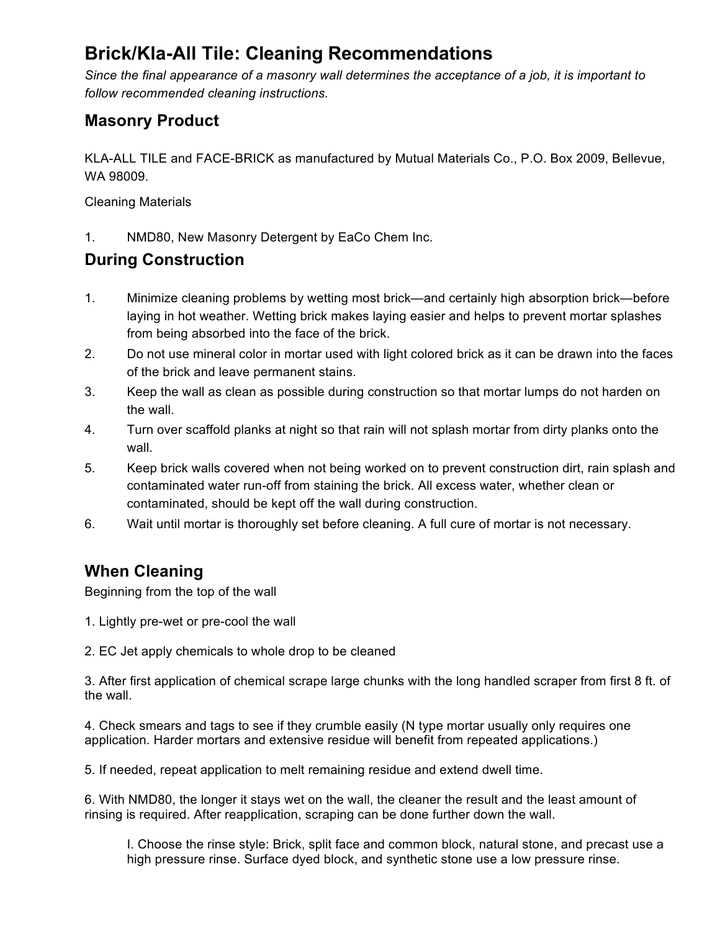# **Brick/Kla-All Tile: Cleaning Recommendations**

*Since the final appearance of a masonry wall determines the acceptance of a job, it is important to follow recommended cleaning instructions.* 

#### **Masonry Product**

KLA-ALL TILE and FACE-BRICK as manufactured by Mutual Materials Co., P.O. Box 2009, Bellevue, WA 98009.

Cleaning Materials

1. NMD80, New Masonry Detergent by EaCo Chem Inc.

### **During Construction**

- 1. Minimize cleaning problems by wetting most brick—and certainly high absorption brick—before laying in hot weather. Wetting brick makes laying easier and helps to prevent mortar splashes from being absorbed into the face of the brick.
- 2. Do not use mineral color in mortar used with light colored brick as it can be drawn into the faces of the brick and leave permanent stains.
- 3. Keep the wall as clean as possible during construction so that mortar lumps do not harden on the wall.
- 4. Turn over scaffold planks at night so that rain will not splash mortar from dirty planks onto the wall.
- 5. Keep brick walls covered when not being worked on to prevent construction dirt, rain splash and contaminated water run-off from staining the brick. All excess water, whether clean or contaminated, should be kept off the wall during construction.
- 6. Wait until mortar is thoroughly set before cleaning. A full cure of mortar is not necessary.

## **When Cleaning**

Beginning from the top of the wall

- 1. Lightly pre-wet or pre-cool the wall
- 2. EC Jet apply chemicals to whole drop to be cleaned

3. After first application of chemical scrape large chunks with the long handled scraper from first 8 ft. of the wall.

4. Check smears and tags to see if they crumble easily (N type mortar usually only requires one application. Harder mortars and extensive residue will benefit from repeated applications.)

5. If needed, repeat application to melt remaining residue and extend dwell time.

6. With NMD80, the longer it stays wet on the wall, the cleaner the result and the least amount of rinsing is required. After reapplication, scraping can be done further down the wall.

I. Choose the rinse style: Brick, split face and common block, natural stone, and precast use a high pressure rinse. Surface dyed block, and synthetic stone use a low pressure rinse.